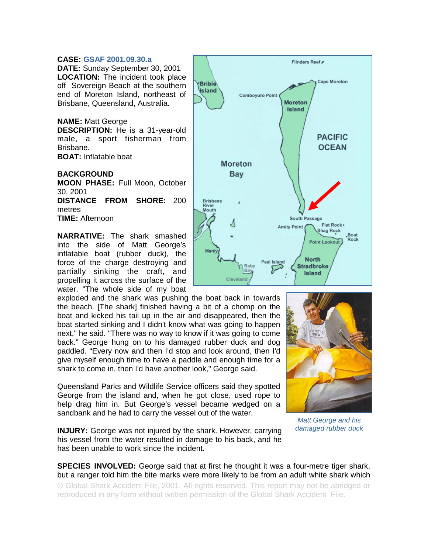## **CASE: GSAF 2001.09.30.a**

**DATE:** Sunday September 30, 2001 **LOCATION:** The incident took place off Sovereign Beach at the southern end of Moreton Island, northeast of Brisbane, Queensland, Australia.

## **NAME:** Matt George

**DESCRIPTION:** He is a 31-year-old male, a sport fisherman from Brisbane. **BOAT:** Inflatable boat

**BACKGROUND** 

**MOON PHASE:** Full Moon, October 30, 2001

**DISTANCE FROM SHORE:** 200 metres

**TIME:** Afternoon

**NARRATIVE:** The shark smashed into the side of Matt George's inflatable boat (rubber duck), the force of the charge destroying and partially sinking the craft, and propelling it across the surface of the water. "The whole side of my boat

exploded and the shark was pushing the boat back in towards the beach. [The shark] finished having a bit of a chomp on the boat and kicked his tail up in the air and disappeared, then the boat started sinking and I didn't know what was going to happen next," he said. "There was no way to know if it was going to come back." George hung on to his damaged rubber duck and dog paddled. "Every now and then I'd stop and look around, then I'd give myself enough time to have a paddle and enough time for a shark to come in, then I'd have another look," George said.

Queensland Parks and Wildlife Service officers said they spotted George from the island and, when he got close, used rope to help drag him in. But George's vessel became wedged on a sandbank and he had to carry the vessel out of the water.

**INJURY:** George was not injured by the shark. However, carrying his vessel from the water resulted in damage to his back, and he has been unable to work since the incident.

## **SPECIES INVOLVED:** George said that at first he thought it was a four-metre tiger shark, but a ranger told him the bite marks were more likely to be from an adult white shark which

© Global Shark Accident File, 2001. All rights reserved. This report may not be abridged or reproduced in any form without written permission of the Global Shark Accident File.





*Matt George and his damaged rubber duck*